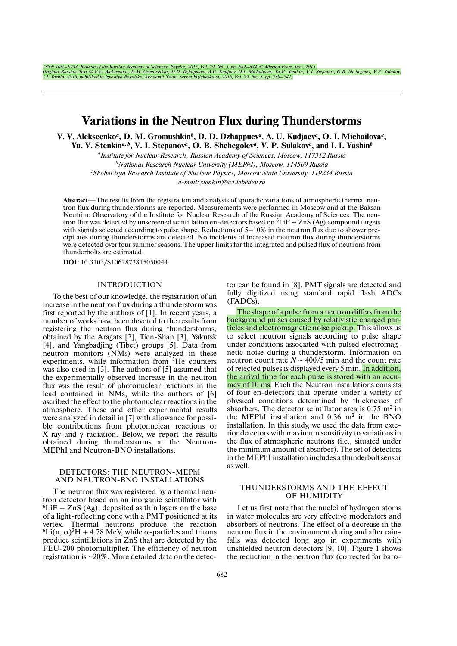ISSN 1062-8738, Bulletin of the Russian Academy of Sciences. Physics, 2015, Vol. 79, No. 5, pp. 682–684. © Allerton Press, Inc., 2015.<br>Original Russian Text © V.V. Alekseenko, D.M. Gromushkin, D.D. Dzhappuev, A.U. Kudjaev,

# **Variations in the Neutron Flux during Thunderstorms**

**V. V. Alekseenko<sup>***a***</sup>, D. M. Gromushkin<sup>***b***</sup>, D. D. Dzhappuev<sup>***a***</sup>, A. U. Kudjaev<sup>***a***</sup>, O. I. Michailova<sup>***a***</sup>,** 

Yu. V. Stenkin<sup>a, b</sup>, V. I. Stepanov<sup>a</sup>, O. B. Shchegolev<sup>a</sup>, V. P. Sulakov<sup>c</sup>, and I. I. Yashin<sup>b</sup>

*a Institute for Nuclear Research, Russian Academy of Sciences, Moscow, 117312 Russia b National Research Nuclear University (MEPhI), Moscow, 114509 Russia*

*c Skobel'tsyn Research Institute of Nuclear Physics, Moscow State University, 119234 Russia*

*e!mail: stenkin@sci.lebedev.ru*

**Abstract—The results from the registration and analysis of sporadic variations of atmospheric thermal neu**tron flux during thunderstorms are reported. Measurements were performed in Moscow and at the Baksan Neutrino Observatory of the Institute for Nuclear Research of the Russian Academy of Sciences. The neutron flux was detected by unscreened scintillation en-detectors based on  ${}^{6}LiF + ZnS$  (Ag) compound targets with signals selected according to pulse shape. Reductions of  $5-10\%$  in the neutron flux due to shower precipitates during thunderstorms are detected. No incidents of increased neutron flux during thunderstorms were detected over four summer seasons. The upper limits for the integrated and pulsed flux of neutrons from thunderbolts are estimated.

**DOI:** 10.3103/S1062873815050044

# INTRODUCTION

To the best of our knowledge, the registration of an increase in the neutron flux during a thunderstorm was first reported by the authors of [1]. In recent years, a number of works have been devoted to the results from registering the neutron flux during thunderstorms, obtained by the Aragats  $[2]$ , Tien-Shan  $[3]$ , Yakutsk [4], and Yangbadjing (Tibet) groups [5]. Data from neutron monitors (NMs) were analyzed in these experiments, while information from <sup>3</sup>He counters was also used in [3]. The authors of [5] assumed that the experimentally observed increase in the neutron flux was the result of photonuclear reactions in the lead contained in NMs, while the authors of [6] ascribed the effect to the photonuclear reactions in the atmosphere. These and other experimental results were analyzed in detail in  $[7]$  with allowance for possible contributions from photonuclear reactions or X-ray and  $\gamma$ -radiation. Below, we report the results obtained during thunderstorms at the Neutron-MEPhI and Neutron-BNO installations.

### DETECTORS: THE NEUTRON-MEPhI AND NEUTRON-BNO INSTALLATIONS

The neutron flux was registered by a thermal neutron detector based on an inorganic scintillator with  ${}^{6}$ LiF + ZnS (Ag), deposited as thin layers on the base of a light-reflecting cone with a PMT positioned at its vertex. Thermal neutrons produce the reaction <sup>6</sup>Li(n, α)<sup>3</sup>H + 4.78 MeV, while α-particles and tritons produce scintillations in ZnS that are detected by the FEU-200 photomultiplier. The efficiency of neutron registration is  $\sim$  20%. More detailed data on the detector can be found in [8]. PMT signals are detected and fully digitized using standard rapid flash ADCs (FADCs).

The shape of a pulse from a neutron differs from the background pulses caused by relativistic charged particles and electromagnetic noise pickup. This allows us to select neutron signals according to pulse shape under conditions associated with pulsed electromagnetic noise during a thunderstorm. Information on neutron count rate  $N \sim 400/5$  min and the count rate of rejected pulses is displayed every 5 min. In addition, the arrival time for each pulse is stored with an accuracy of 10 ms. Each the Neutron installations consists of four en-detectors that operate under a variety of physical conditions determined by thicknesses of absorbers. The detector scintillator area is  $0.75 \text{ m}^2$  in the MEPhI installation and  $0.36$  m<sup>2</sup> in the BNO installation. In this study, we used the data from exterior detectors with maximum sensitivity to variations in the flux of atmospheric neutrons (i.e., situated under the minimum amount of absorber). The set of detectors in the MEPhI installation includes a thunderbolt sensor as well.

# THUNDERSTORMS AND THE EFFECT OF HUMIDITY

Let us first note that the nuclei of hydrogen atoms in water molecules are very effective moderators and absorbers of neutrons. The effect of a decrease in the neutron flux in the environment during and after rainfalls was detected long ago in experiments with unshielded neutron detectors [9, 10]. Figure 1 shows the reduction in the neutron flux (corrected for baro-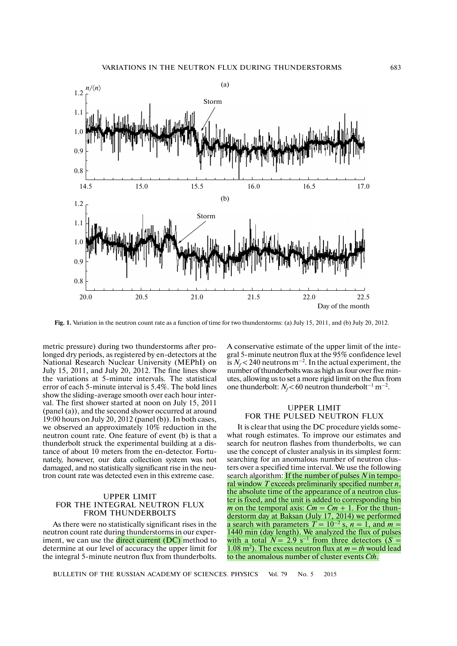

**Fig. 1.** Variation in the neutron count rate as a function of time for two thunderstorms: (a) July 15, 2011, and (b) July 20, 2012.

metric pressure) during two thunderstorms after prolonged dry periods, as registered by en-detectors at the National Research Nuclear University (MEPhI) on July 15, 2011, and July 20, 2012. The fine lines show the variations at 5-minute intervals. The statistical error of each 5-minute interval is 5.4%. The bold lines show the sliding-average smooth over each hour interval. The first shower started at noon on July 15, 2011 (panel (a)), and the second shower occurred at around 19:00 hours on July 20, 2012 (panel (b)). In both cases, we observed an approximately 10% reduction in the neutron count rate. One feature of event (b) is that a thunderbolt struck the experimental building at a distance of about 10 meters from the en-detector. Fortunately, however, our data collection system was not damaged, and no statistically significant rise in the neutron count rate was detected even in this extreme case.

#### UPPER LIMIT FOR THE INTEGRAL NEUTRON FLUX FROM THUNDERBOLTS

As there were no statistically significant rises in the neutron count rate during thunderstorms in our experiment, we can use the direct current (DC) method to determine at our level of accuracy the upper limit for the integral 5-minute neutron flux from thunderbolts.

A conservative estimate of the upper limit of the integral 5-minute neutron flux at the 95% confidence level is  $N_f$  < 240 neutrons m<sup>-2</sup>. In the actual experiment, the number of thunderbolts was as high as four over five minutes, allowing us to set a more rigid limit on the flux from one thunderbolt:  $N_f$ <60 neutron thunderbolt<sup>-1</sup> m<sup>-2</sup>.

### UPPER LIMIT FOR THE PULSED NEUTRON FLUX

It is clear that using the DC procedure yields somewhat rough estimates. To improve our estimates and search for neutron flashes from thunderbolts, we can use the concept of cluster analysis in its simplest form: searching for an anomalous number of neutron clusters over a specified time interval. We use the following search algorithm: If the number of pulses  $N$  in temporal window *T* exceeds preliminarily specified number *n*, the absolute time of the appearance of a neutron cluster is fixed, and the unit is added to corresponding bin *m* on the temporal axis:  $Cm = Cm + 1$ . For the thunderstorm day at Baksan (July 17, 2014) we performed a search with parameters  $T = 10^{-2}$  s,  $n = 1$ , and  $m =$ 1440 min (day length). We analyzed the flux of pulses with a total  $N = 2.9$  s<sup>-1</sup> from three detectors  $(S =$ 1.08 m<sup>2</sup>). The excess neutron flux at  $m = th$  would lead to the anomalous number of cluster events *Cth*.

BULLETIN OF THE RUSSIAN ACADEMY OF SCIENCES. PHYSICS Vol. 79 No. 5 2015